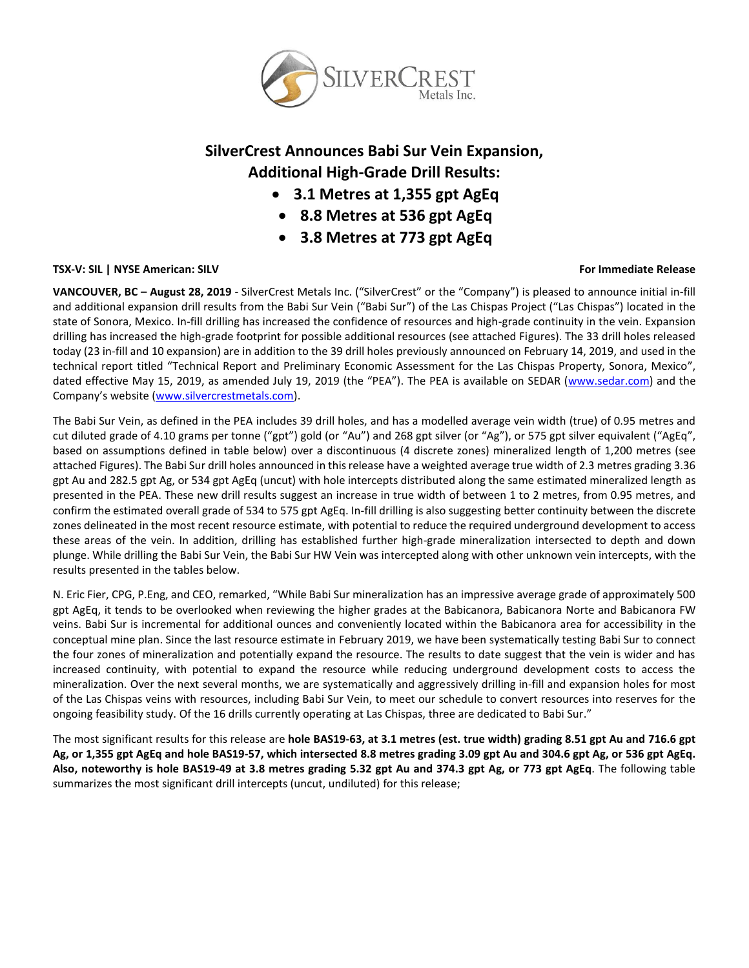

# **SilverCrest Announces Babi Sur Vein Expansion, Additional High-Grade Drill Results:**

- **3.1 Metres at 1,355 gpt AgEq**
- **8.8 Metres at 536 gpt AgEq**
- **3.8 Metres at 773 gpt AgEq**

# **TSX-V: SIL | NYSE American: SILV For Immediate Release**

**VANCOUVER, BC – August 28, 2019** - SilverCrest Metals Inc. ("SilverCrest" or the "Company") is pleased to announce initial in-fill and additional expansion drill results from the Babi Sur Vein ("Babi Sur") of the Las Chispas Project ("Las Chispas") located in the state of Sonora, Mexico. In-fill drilling has increased the confidence of resources and high-grade continuity in the vein. Expansion drilling has increased the high-grade footprint for possible additional resources (see attached Figures). The 33 drill holes released today (23 in-fill and 10 expansion) are in addition to the 39 drill holes previously announced on February 14, 2019, and used in the technical report titled "Technical Report and Preliminary Economic Assessment for the Las Chispas Property, Sonora, Mexico", dated effective May 15, 2019, as amended July 19, 2019 (the "PEA"). The PEA is available on SEDAR [\(www.sedar.com\)](http://www.sedar.com/) and the Company's website ([www.silvercrestmetals.com\)](http://www.silvercrestmetals.com/).

The Babi Sur Vein, as defined in the PEA includes 39 drill holes, and has a modelled average vein width (true) of 0.95 metres and cut diluted grade of 4.10 grams per tonne ("gpt") gold (or "Au") and 268 gpt silver (or "Ag"), or 575 gpt silver equivalent ("AgEq", based on assumptions defined in table below) over a discontinuous (4 discrete zones) mineralized length of 1,200 metres (see attached Figures). The Babi Sur drill holes announced in this release have a weighted average true width of 2.3 metres grading 3.36 gpt Au and 282.5 gpt Ag, or 534 gpt AgEq (uncut) with hole intercepts distributed along the same estimated mineralized length as presented in the PEA. These new drill results suggest an increase in true width of between 1 to 2 metres, from 0.95 metres, and confirm the estimated overall grade of 534 to 575 gpt AgEq. In-fill drilling is also suggesting better continuity between the discrete zones delineated in the most recent resource estimate, with potential to reduce the required underground development to access these areas of the vein. In addition, drilling has established further high-grade mineralization intersected to depth and down plunge. While drilling the Babi Sur Vein, the Babi Sur HW Vein was intercepted along with other unknown vein intercepts, with the results presented in the tables below.

N. Eric Fier, CPG, P.Eng, and CEO, remarked, "While Babi Sur mineralization has an impressive average grade of approximately 500 gpt AgEq, it tends to be overlooked when reviewing the higher grades at the Babicanora, Babicanora Norte and Babicanora FW veins. Babi Sur is incremental for additional ounces and conveniently located within the Babicanora area for accessibility in the conceptual mine plan. Since the last resource estimate in February 2019, we have been systematically testing Babi Sur to connect the four zones of mineralization and potentially expand the resource. The results to date suggest that the vein is wider and has increased continuity, with potential to expand the resource while reducing underground development costs to access the mineralization. Over the next several months, we are systematically and aggressively drilling in-fill and expansion holes for most of the Las Chispas veins with resources, including Babi Sur Vein, to meet our schedule to convert resources into reserves for the ongoing feasibility study. Of the 16 drills currently operating at Las Chispas, three are dedicated to Babi Sur."

The most significant results for this release are **hole BAS19-63, at 3.1 metres (est. true width) grading 8.51 gpt Au and 716.6 gpt Ag, or 1,355 gpt AgEq and hole BAS19-57, which intersected 8.8 metres grading 3.09 gpt Au and 304.6 gpt Ag, or 536 gpt AgEq. Also, noteworthy is hole BAS19-49 at 3.8 metres grading 5.32 gpt Au and 374.3 gpt Ag, or 773 gpt AgEq**. The following table summarizes the most significant drill intercepts (uncut, undiluted) for this release;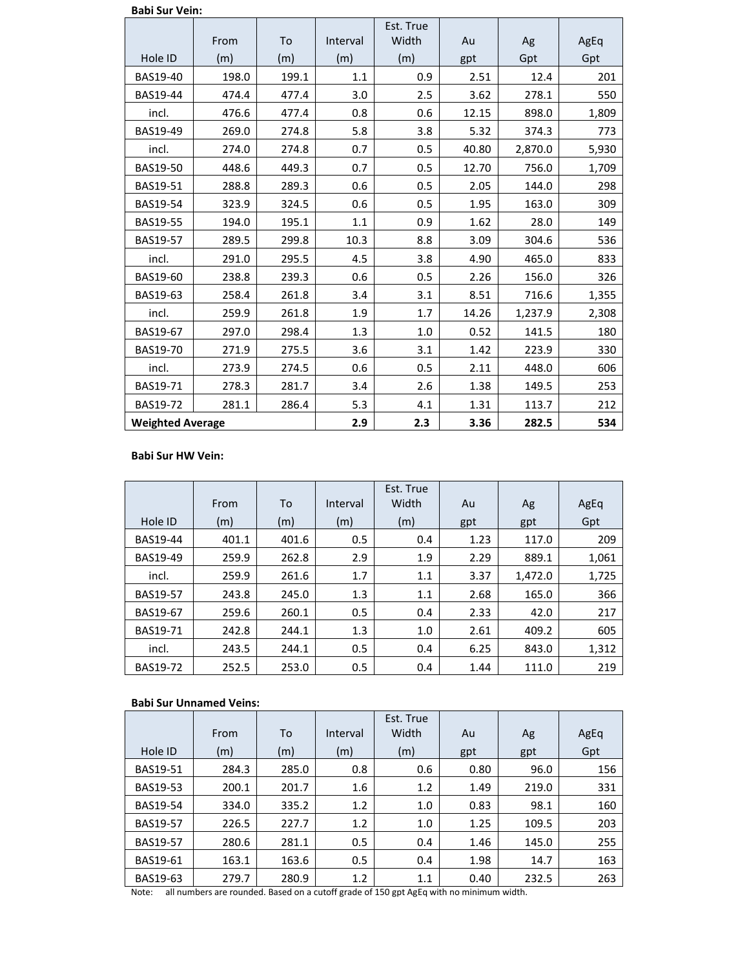|  |  | <b>Babi Sur Vein:</b> |
|--|--|-----------------------|
|--|--|-----------------------|

|                         | From  | To    | Interval | Est. True<br>Width | Au    | Ag      | AgEq  |
|-------------------------|-------|-------|----------|--------------------|-------|---------|-------|
| Hole ID                 | (m)   | (m)   | (m)      | (m)                | gpt   | Gpt     | Gpt   |
| BAS19-40                | 198.0 | 199.1 | 1.1      | 0.9                | 2.51  | 12.4    | 201   |
| BAS19-44                | 474.4 | 477.4 | 3.0      | 2.5                | 3.62  | 278.1   | 550   |
| incl.                   | 476.6 | 477.4 | 0.8      | 0.6                | 12.15 | 898.0   | 1,809 |
| BAS19-49                | 269.0 | 274.8 | 5.8      | 3.8                | 5.32  | 374.3   | 773   |
| incl.                   | 274.0 | 274.8 | 0.7      | 0.5                | 40.80 | 2,870.0 | 5,930 |
| <b>BAS19-50</b>         | 448.6 | 449.3 | 0.7      | 0.5                | 12.70 | 756.0   | 1,709 |
| BAS19-51                | 288.8 | 289.3 | 0.6      | 0.5                | 2.05  | 144.0   | 298   |
| BAS19-54                | 323.9 | 324.5 | 0.6      | 0.5                | 1.95  | 163.0   | 309   |
| BAS19-55                | 194.0 | 195.1 | 1.1      | 0.9                | 1.62  | 28.0    | 149   |
| BAS19-57                | 289.5 | 299.8 | 10.3     | 8.8                | 3.09  | 304.6   | 536   |
| incl.                   | 291.0 | 295.5 | 4.5      | 3.8                | 4.90  | 465.0   | 833   |
| BAS19-60                | 238.8 | 239.3 | 0.6      | 0.5                | 2.26  | 156.0   | 326   |
| BAS19-63                | 258.4 | 261.8 | 3.4      | 3.1                | 8.51  | 716.6   | 1,355 |
| incl.                   | 259.9 | 261.8 | 1.9      | 1.7                | 14.26 | 1,237.9 | 2,308 |
| BAS19-67                | 297.0 | 298.4 | 1.3      | 1.0                | 0.52  | 141.5   | 180   |
| BAS19-70                | 271.9 | 275.5 | 3.6      | 3.1                | 1.42  | 223.9   | 330   |
| incl.                   | 273.9 | 274.5 | 0.6      | 0.5                | 2.11  | 448.0   | 606   |
| BAS19-71                | 278.3 | 281.7 | 3.4      | 2.6                | 1.38  | 149.5   | 253   |
| BAS19-72                | 281.1 | 286.4 | 5.3      | 4.1                | 1.31  | 113.7   | 212   |
| <b>Weighted Average</b> |       | 2.9   | 2.3      | 3.36               | 282.5 | 534     |       |

## **Babi Sur HW Vein:**

|                 |       |       |          | Est. True |      |         |       |
|-----------------|-------|-------|----------|-----------|------|---------|-------|
|                 | From  | To    | Interval | Width     | Au   | Ag      | AgEq  |
| Hole ID         | (m)   | (m)   | (m)      | (m)       | gpt  | gpt     | Gpt   |
| <b>BAS19-44</b> | 401.1 | 401.6 | 0.5      | 0.4       | 1.23 | 117.0   | 209   |
| <b>BAS19-49</b> | 259.9 | 262.8 | 2.9      | 1.9       | 2.29 | 889.1   | 1,061 |
| incl.           | 259.9 | 261.6 | 1.7      | 1.1       | 3.37 | 1,472.0 | 1,725 |
| <b>BAS19-57</b> | 243.8 | 245.0 | 1.3      | 1.1       | 2.68 | 165.0   | 366   |
| <b>BAS19-67</b> | 259.6 | 260.1 | 0.5      | 0.4       | 2.33 | 42.0    | 217   |
| <b>BAS19-71</b> | 242.8 | 244.1 | 1.3      | 1.0       | 2.61 | 409.2   | 605   |
| incl.           | 243.5 | 244.1 | 0.5      | 0.4       | 6.25 | 843.0   | 1,312 |
| <b>BAS19-72</b> | 252.5 | 253.0 | 0.5      | 0.4       | 1.44 | 111.0   | 219   |

# **Babi Sur Unnamed Veins:**

|                 | From  | To    | Interval | Est. True<br>Width | Au   | Ag    | AgEq |
|-----------------|-------|-------|----------|--------------------|------|-------|------|
| Hole ID         | (m)   | (m)   | (m)      | (m)                | gpt  | gpt   | Gpt  |
| <b>BAS19-51</b> | 284.3 | 285.0 | 0.8      | 0.6                | 0.80 | 96.0  | 156  |
| BAS19-53        | 200.1 | 201.7 | 1.6      | 1.2                | 1.49 | 219.0 | 331  |
| <b>BAS19-54</b> | 334.0 | 335.2 | 1.2      | 1.0                | 0.83 | 98.1  | 160  |
| <b>BAS19-57</b> | 226.5 | 227.7 | 1.2      | 1.0                | 1.25 | 109.5 | 203  |
| <b>BAS19-57</b> | 280.6 | 281.1 | 0.5      | 0.4                | 1.46 | 145.0 | 255  |
| BAS19-61        | 163.1 | 163.6 | 0.5      | 0.4                | 1.98 | 14.7  | 163  |
| BAS19-63        | 279.7 | 280.9 | 1.2      | 1.1                | 0.40 | 232.5 | 263  |

Note: all numbers are rounded. Based on a cutoff grade of 150 gpt AgEq with no minimum width.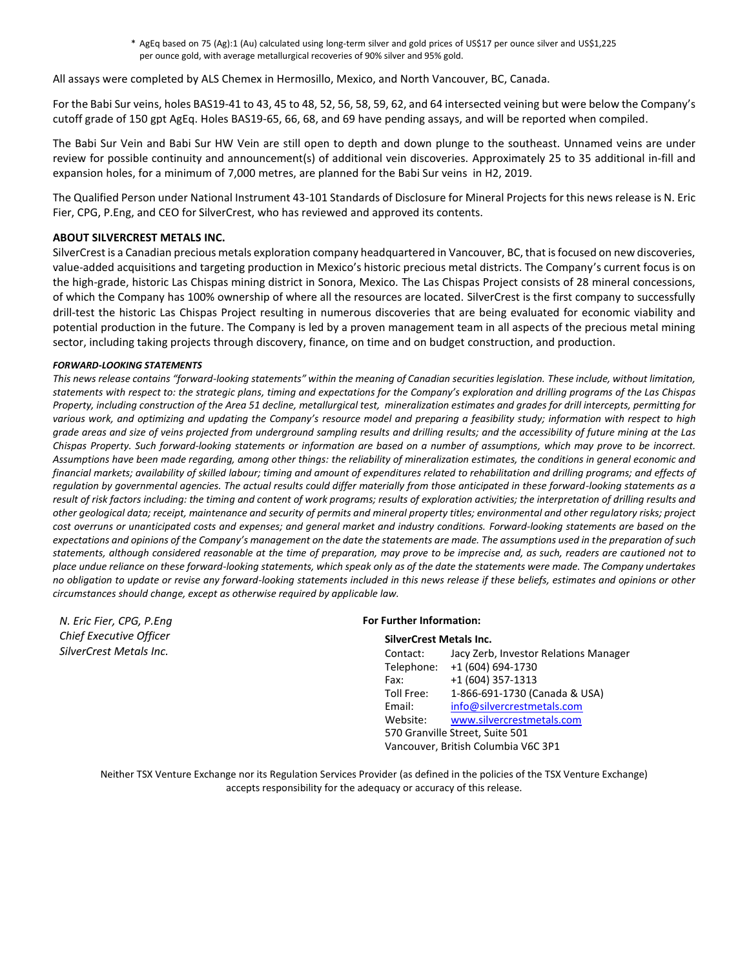\* AgEq based on 75 (Ag):1 (Au) calculated using long-term silver and gold prices of US\$17 per ounce silver and US\$1,225 per ounce gold, with average metallurgical recoveries of 90% silver and 95% gold.

All assays were completed by ALS Chemex in Hermosillo, Mexico, and North Vancouver, BC, Canada.

For the Babi Sur veins, holes BAS19-41 to 43, 45 to 48, 52, 56, 58, 59, 62, and 64 intersected veining but were below the Company's cutoff grade of 150 gpt AgEq. Holes BAS19-65, 66, 68, and 69 have pending assays, and will be reported when compiled.

The Babi Sur Vein and Babi Sur HW Vein are still open to depth and down plunge to the southeast. Unnamed veins are under review for possible continuity and announcement(s) of additional vein discoveries. Approximately 25 to 35 additional in-fill and expansion holes, for a minimum of 7,000 metres, are planned for the Babi Sur veins in H2, 2019.

The Qualified Person under National Instrument 43-101 Standards of Disclosure for Mineral Projects for this news release is N. Eric Fier, CPG, P.Eng, and CEO for SilverCrest, who has reviewed and approved its contents.

# **ABOUT SILVERCREST METALS INC.**

SilverCrest is a Canadian precious metals exploration company headquartered in Vancouver, BC, that is focused on new discoveries, value-added acquisitions and targeting production in Mexico's historic precious metal districts. The Company's current focus is on the high-grade, historic Las Chispas mining district in Sonora, Mexico. The Las Chispas Project consists of 28 mineral concessions, of which the Company has 100% ownership of where all the resources are located. SilverCrest is the first company to successfully drill-test the historic Las Chispas Project resulting in numerous discoveries that are being evaluated for economic viability and potential production in the future. The Company is led by a proven management team in all aspects of the precious metal mining sector, including taking projects through discovery, finance, on time and on budget construction, and production.

## *FORWARD-LOOKING STATEMENTS*

*This news release contains "forward-looking statements" within the meaning of Canadian securities legislation. These include, without limitation, statements with respect to: the strategic plans, timing and expectations for the Company's exploration and drilling programs of the Las Chispas Property, including construction of the Area 51 decline, metallurgical test, mineralization estimates and grades for drill intercepts, permitting for*  various work, and optimizing and updating the Company's resource model and preparing a feasibility study; information with respect to high *grade areas and size of veins projected from underground sampling results and drilling results; and the accessibility of future mining at the Las Chispas Property. Such forward-looking statements or information are based on a number of assumptions, which may prove to be incorrect. Assumptions have been made regarding, among other things: the reliability of mineralization estimates, the conditions in general economic and financial markets; availability of skilled labour; timing and amount of expenditures related to rehabilitation and drilling programs; and effects of regulation by governmental agencies. The actual results could differ materially from those anticipated in these forward-looking statements as a result of risk factors including: the timing and content of work programs; results of exploration activities; the interpretation of drilling results and other geological data; receipt, maintenance and security of permits and mineral property titles; environmental and other regulatory risks; project cost overruns or unanticipated costs and expenses; and general market and industry conditions. Forward-looking statements are based on the expectations and opinions of the Company's management on the date the statements are made. The assumptions used in the preparation of such statements, although considered reasonable at the time of preparation, may prove to be imprecise and, as such, readers are cautioned not to place undue reliance on these forward-looking statements, which speak only as of the date the statements were made. The Company undertakes no obligation to update or revise any forward-looking statements included in this news release if these beliefs, estimates and opinions or other circumstances should change, except as otherwise required by applicable law.*

*N. Eric Fier, CPG, P.Eng Chief Executive Officer SilverCrest Metals Inc.*

## **For Further Information:**

#### **SilverCrest Metals Inc.**

| Jacy Zerb, Investor Relations Manager |  |  |  |  |
|---------------------------------------|--|--|--|--|
| +1 (604) 694-1730                     |  |  |  |  |
| +1 (604) 357-1313                     |  |  |  |  |
| 1-866-691-1730 (Canada & USA)         |  |  |  |  |
| info@silvercrestmetals.com            |  |  |  |  |
| www.silvercrestmetals.com             |  |  |  |  |
| 570 Granville Street, Suite 501       |  |  |  |  |
| Vancouver, British Columbia V6C 3P1   |  |  |  |  |
|                                       |  |  |  |  |

Neither TSX Venture Exchange nor its Regulation Services Provider (as defined in the policies of the TSX Venture Exchange) accepts responsibility for the adequacy or accuracy of this release.